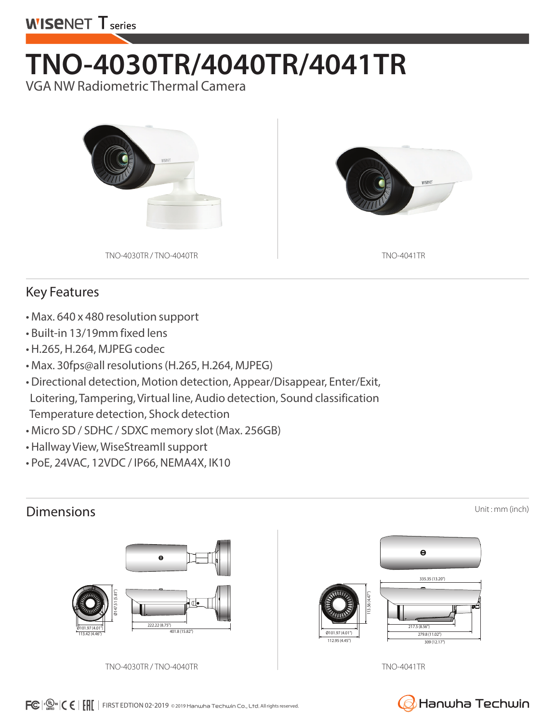

## **TNO-4030TR/4040TR/4041TR**

VGA NW Radiometric Thermal Camera



## Key Features

- Max. 640 x 480 resolution support
- Built-in 13/19mm fixed lens
- H.265, H.264, MJPEG codec
- Max. 30fps@all resolutions (H.265, H.264, MJPEG)
- Directional detection, Motion detection, Appear/Disappear, Enter/Exit, Loitering, Tampering, Virtual line, Audio detection, Sound classification Temperature detection, Shock detection
- Micro SD / SDHC / SDXC memory slot (Max. 256GB)
- Hallway View, WiseStreamII support
- PoE, 24VAC, 12VDC / IP66, NEMA4X, IK10

## Dimensions Unit: mm (inch)



TNO-4030TR / TNO-4040TR



TNO-4041TR



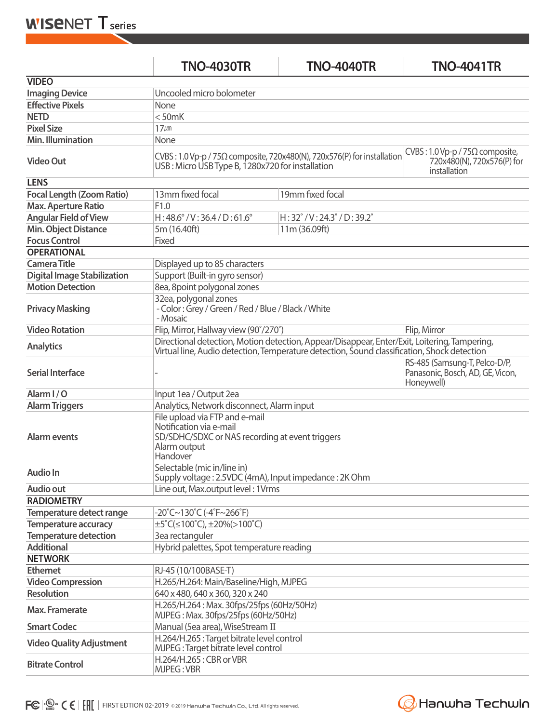**WISENET T** series

|                                    | <b>TNO-4030TR</b>                                                                                                                                                                           | <b>TNO-4040TR</b>                                                               | <b>TNO-4041TR</b>                                                                    |  |
|------------------------------------|---------------------------------------------------------------------------------------------------------------------------------------------------------------------------------------------|---------------------------------------------------------------------------------|--------------------------------------------------------------------------------------|--|
| <b>VIDEO</b>                       |                                                                                                                                                                                             |                                                                                 |                                                                                      |  |
| <b>Imaging Device</b>              | Uncooled micro bolometer                                                                                                                                                                    |                                                                                 |                                                                                      |  |
| <b>Effective Pixels</b>            | None                                                                                                                                                                                        |                                                                                 |                                                                                      |  |
| <b>NETD</b>                        | $<$ 50 $mK$                                                                                                                                                                                 |                                                                                 |                                                                                      |  |
| <b>Pixel Size</b>                  | $17 \mu m$                                                                                                                                                                                  |                                                                                 |                                                                                      |  |
| Min. Illumination                  | None                                                                                                                                                                                        |                                                                                 |                                                                                      |  |
| <b>Video Out</b>                   | USB: Micro USB Type B, 1280x720 for installation                                                                                                                                            | CVBS: 1.0 Vp-p / 75 $\Omega$ composite, 720x480(N), 720x576(P) for installation | $CVBS: 1.0 Vp-p / 75\Omega$ composite,<br>720x480(N), 720x576(P) for<br>installation |  |
| <b>LENS</b>                        |                                                                                                                                                                                             |                                                                                 |                                                                                      |  |
| <b>Focal Length (Zoom Ratio)</b>   | 13mm fixed focal                                                                                                                                                                            | 19mm fixed focal                                                                |                                                                                      |  |
| <b>Max. Aperture Ratio</b>         | F1.0                                                                                                                                                                                        |                                                                                 |                                                                                      |  |
| <b>Angular Field of View</b>       | $H:48.6^{\circ}/V:36.4/D:61.6^{\circ}$                                                                                                                                                      | $H:32^{\circ}/V:24.3^{\circ}/D:39.2^{\circ}$                                    |                                                                                      |  |
| Min. Object Distance               | 5m (16.40ft)                                                                                                                                                                                | 11m (36.09ft)                                                                   |                                                                                      |  |
| <b>Focus Control</b>               | Fixed                                                                                                                                                                                       |                                                                                 |                                                                                      |  |
| <b>OPERATIONAL</b>                 |                                                                                                                                                                                             |                                                                                 |                                                                                      |  |
| <b>Camera Title</b>                | Displayed up to 85 characters                                                                                                                                                               |                                                                                 |                                                                                      |  |
| <b>Digital Image Stabilization</b> | Support (Built-in gyro sensor)                                                                                                                                                              |                                                                                 |                                                                                      |  |
| <b>Motion Detection</b>            | 8ea, 8point polygonal zones                                                                                                                                                                 |                                                                                 |                                                                                      |  |
| <b>Privacy Masking</b>             | 32ea, polygonal zones<br>- Color: Grey / Green / Red / Blue / Black / White<br>- Mosaic                                                                                                     |                                                                                 |                                                                                      |  |
| <b>Video Rotation</b>              | Flip, Mirror, Hallway view (90°/270°)                                                                                                                                                       |                                                                                 | Flip, Mirror                                                                         |  |
| <b>Analytics</b>                   | Directional detection, Motion detection, Appear/Disappear, Enter/Exit, Loitering, Tampering,<br>Virtual line, Audio detection, Temperature detection, Sound classification, Shock detection |                                                                                 |                                                                                      |  |
| <b>Serial Interface</b>            |                                                                                                                                                                                             |                                                                                 | RS-485 (Samsung-T, Pelco-D/P,<br>Panasonic, Bosch, AD, GE, Vicon,<br>Honeywell)      |  |
| Alarm I/O                          | Input 1ea / Output 2ea                                                                                                                                                                      |                                                                                 |                                                                                      |  |
| <b>Alarm Triggers</b>              | Analytics, Network disconnect, Alarm input                                                                                                                                                  |                                                                                 |                                                                                      |  |
| <b>Alarm events</b>                | File upload via FTP and e-mail<br>Notification via e-mail<br>SD/SDHC/SDXC or NAS recording at event triggers<br>Alarm output<br>Handover                                                    |                                                                                 |                                                                                      |  |
| <b>Audio In</b>                    | Selectable (mic in/line in)<br>Supply voltage: 2.5VDC (4mA), Input impedance: 2K Ohm                                                                                                        |                                                                                 |                                                                                      |  |
| <b>Audio out</b>                   | Line out, Max.output level: 1Vrms                                                                                                                                                           |                                                                                 |                                                                                      |  |
| <b>RADIOMETRY</b>                  |                                                                                                                                                                                             |                                                                                 |                                                                                      |  |
| Temperature detect range           | $-20^{\circ}$ C~130 $^{\circ}$ C (-4 $^{\circ}$ F~266 $^{\circ}$ F)                                                                                                                         |                                                                                 |                                                                                      |  |
| <b>Temperature accuracy</b>        | $\pm 5^{\circ}$ C( $\leq 100^{\circ}$ C), $\pm 20\%$ (>100 $^{\circ}$ C)                                                                                                                    |                                                                                 |                                                                                      |  |
| <b>Temperature detection</b>       | 3ea rectanguler                                                                                                                                                                             |                                                                                 |                                                                                      |  |
| <b>Additional</b>                  | Hybrid palettes, Spot temperature reading                                                                                                                                                   |                                                                                 |                                                                                      |  |
| <b>NETWORK</b>                     |                                                                                                                                                                                             |                                                                                 |                                                                                      |  |
| <b>Ethernet</b>                    | RJ-45 (10/100BASE-T)                                                                                                                                                                        |                                                                                 |                                                                                      |  |
| <b>Video Compression</b>           | H.265/H.264: Main/Baseline/High, MJPEG                                                                                                                                                      |                                                                                 |                                                                                      |  |
| <b>Resolution</b>                  | 640 x 480, 640 x 360, 320 x 240                                                                                                                                                             |                                                                                 |                                                                                      |  |
| <b>Max. Framerate</b>              | H.265/H.264: Max. 30fps/25fps (60Hz/50Hz)<br>MJPEG: Max. 30fps/25fps (60Hz/50Hz)                                                                                                            |                                                                                 |                                                                                      |  |
| <b>Smart Codec</b>                 | Manual (5ea area), WiseStream II                                                                                                                                                            |                                                                                 |                                                                                      |  |
| <b>Video Quality Adjustment</b>    | H.264/H.265: Target bitrate level control<br>MJPEG: Target bitrate level control                                                                                                            |                                                                                 |                                                                                      |  |
| <b>Bitrate Control</b>             | H.264/H.265: CBR or VBR<br><b>MJPEG: VBR</b>                                                                                                                                                |                                                                                 |                                                                                      |  |